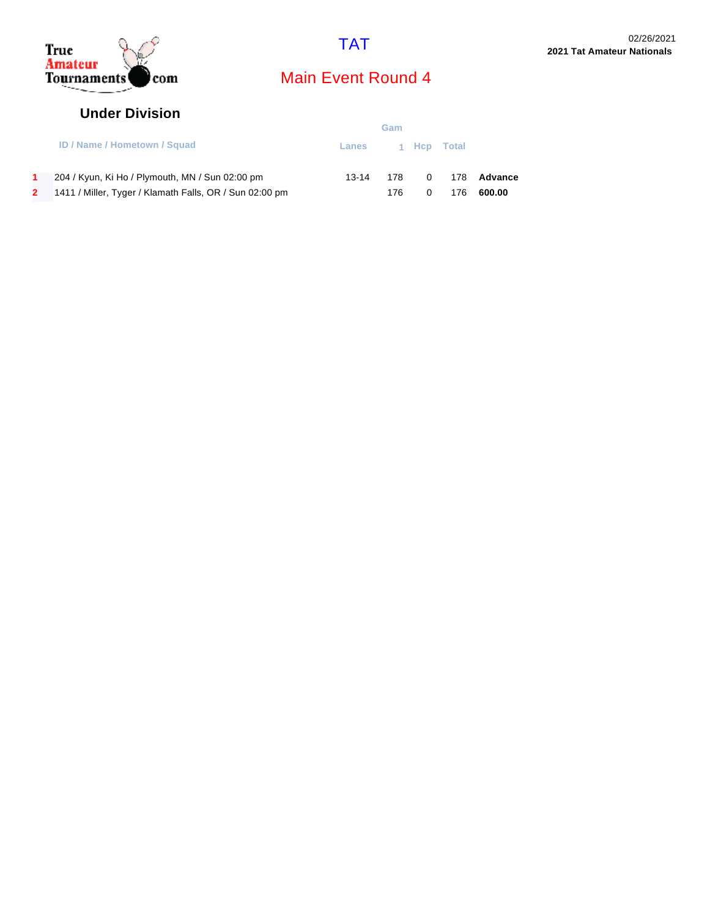



#### **Under Division**

|                                                         | Gam               |       |  |     |               |
|---------------------------------------------------------|-------------------|-------|--|-----|---------------|
| <b>ID / Name / Hometown / Squad</b>                     | Lanes 1 Hcp Total |       |  |     |               |
| 204 / Kyun, Ki Ho / Plymouth, MN / Sun 02:00 pm         | 13-14             | 178 — |  |     | 0 178 Advance |
| 1411 / Miller, Tyger / Klamath Falls, OR / Sun 02:00 pm |                   | 176.  |  | 176 | 600.00        |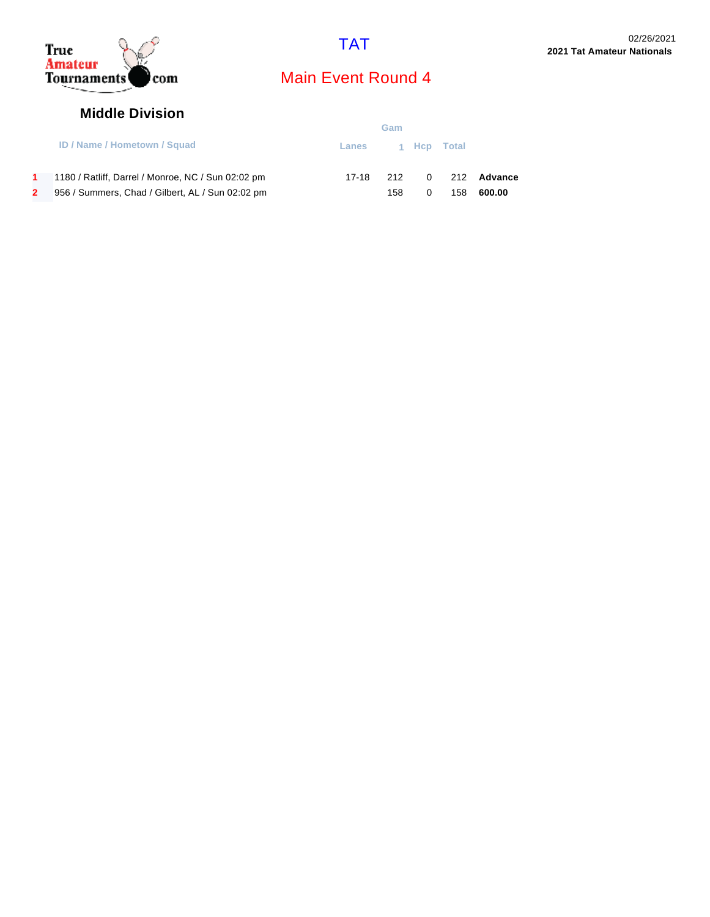



#### **Middle Division**

|                                                    | Gam               |     |  |     |                 |
|----------------------------------------------------|-------------------|-----|--|-----|-----------------|
| <b>ID / Name / Hometown / Squad</b>                | Lanes 1 Hcp Total |     |  |     |                 |
| 1180 / Ratliff, Darrel / Monroe, NC / Sun 02:02 pm | 17-18             | 212 |  |     | $0$ 212 Advance |
| 956 / Summers, Chad / Gilbert, AL / Sun 02:02 pm   |                   | 158 |  | 158 | 600.00          |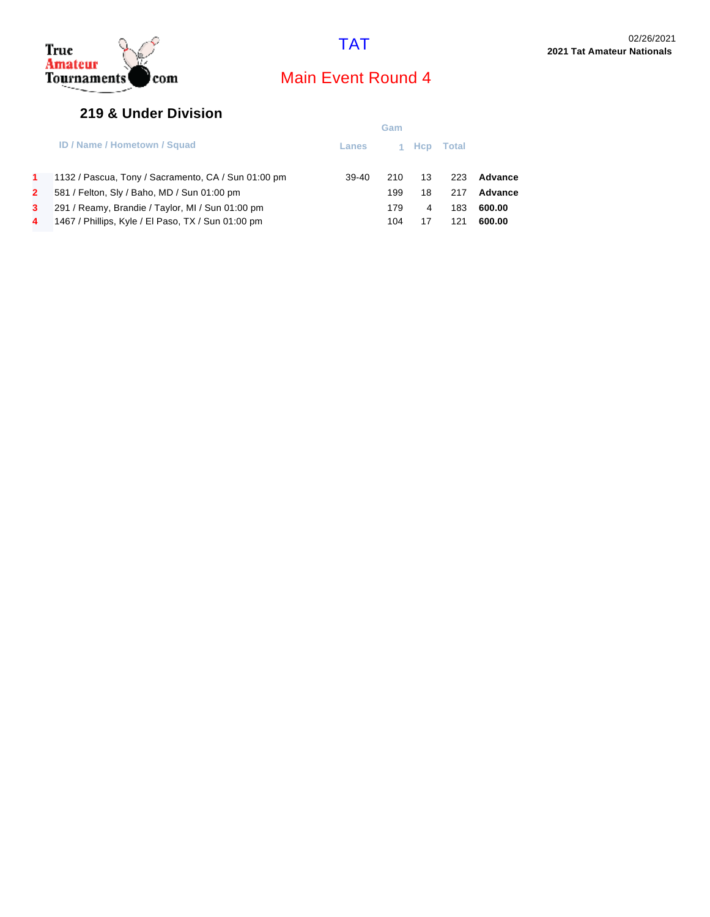

### **219 & Under Division**

|    |                                                     | Gam     |     |      |       |         |
|----|-----------------------------------------------------|---------|-----|------|-------|---------|
|    | <b>ID / Name / Hometown / Squad</b>                 | Lanes   |     | Hcp. | Total |         |
| 1. | 1132 / Pascua, Tony / Sacramento, CA / Sun 01:00 pm | $39-40$ | 210 | 13   | 223   | Advance |
| 2  | 581 / Felton, Sly / Baho, MD / Sun 01:00 pm         |         | 199 | 18   | 217   | Advance |
| 3. | 291 / Reamy, Brandie / Taylor, MI / Sun 01:00 pm    |         | 179 | 4    | 183   | 600.00  |
| 4  | 1467 / Phillips, Kyle / El Paso, TX / Sun 01:00 pm  |         | 104 | 17   | 121   | 600.00  |
|    |                                                     |         |     |      |       |         |